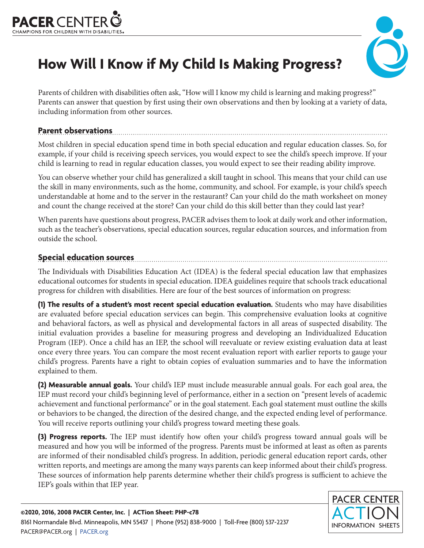



# **How Will I Know if My Child Is Making Progress?**

Parents of children with disabilities often ask, "How will I know my child is learning and making progress?" Parents can answer that question by first using their own observations and then by looking at a variety of data, including information from other sources.

#### **Parent observations**

Most children in special education spend time in both special education and regular education classes. So, for example, if your child is receiving speech services, you would expect to see the child's speech improve. If your child is learning to read in regular education classes, you would expect to see their reading ability improve.

You can observe whether your child has generalized a skill taught in school. This means that your child can use the skill in many environments, such as the home, community, and school. For example, is your child's speech understandable at home and to the server in the restaurant? Can your child do the math worksheet on money and count the change received at the store? Can your child do this skill better than they could last year?

When parents have questions about progress, PACER advises them to look at daily work and other information, such as the teacher's observations, special education sources, regular education sources, and information from outside the school.

#### **Special education sources**

The Individuals with Disabilities Education Act (IDEA) is the federal special education law that emphasizes educational outcomes for students in special education. IDEA guidelines require that schools track educational progress for children with disabilities. Here are four of the best sources of information on progress:

**(1) The results of a student's most recent special education evaluation.** Students who may have disabilities are evaluated before special education services can begin. This comprehensive evaluation looks at cognitive and behavioral factors, as well as physical and developmental factors in all areas of suspected disability. The initial evaluation provides a baseline for measuring progress and developing an Individualized Education Program (IEP). Once a child has an IEP, the school will reevaluate or review existing evaluation data at least once every three years. You can compare the most recent evaluation report with earlier reports to gauge your child's progress. Parents have a right to obtain copies of evaluation summaries and to have the information explained to them.

**(2) Measurable annual goals.** Your child's IEP must include measurable annual goals. For each goal area, the IEP must record your child's beginning level of performance, either in a section on "present levels of academic achievement and functional performance" or in the goal statement. Each goal statement must outline the skills or behaviors to be changed, the direction of the desired change, and the expected ending level of performance. You will receive reports outlining your child's progress toward meeting these goals.

**(3) Progress reports.** The IEP must identify how often your child's progress toward annual goals will be measured and how you will be informed of the progress. Parents must be informed at least as often as parents are informed of their nondisabled child's progress. In addition, periodic general education report cards, other written reports, and meetings are among the many ways parents can keep informed about their child's progress. These sources of information help parents determine whether their child's progress is sufficient to achieve the IEP's goals within that IEP year.

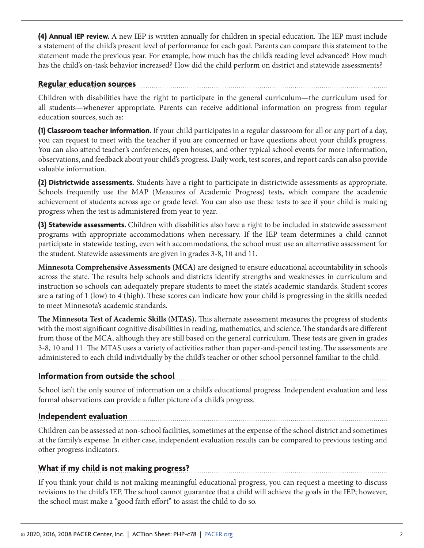**(4) Annual IEP review.** A new IEP is written annually for children in special education. The IEP must include a statement of the child's present level of performance for each goal. Parents can compare this statement to the statement made the previous year. For example, how much has the child's reading level advanced? How much has the child's on-task behavior increased? How did the child perform on district and statewide assessments?

#### **Regular education sources**

Children with disabilities have the right to participate in the general curriculum—the curriculum used for all students—whenever appropriate. Parents can receive additional information on progress from regular education sources, such as:

**(1) Classroom teacher information.** If your child participates in a regular classroom for all or any part of a day, you can request to meet with the teacher if you are concerned or have questions about your child's progress. You can also attend teacher's conferences, open houses, and other typical school events for more information, observations, and feedback about your child's progress. Daily work, test scores, and report cards can also provide valuable information.

**(2) Districtwide assessments.** Students have a right to participate in districtwide assessments as appropriate. Schools frequently use the MAP (Measures of Academic Progress) tests, which compare the academic achievement of students across age or grade level. You can also use these tests to see if your child is making progress when the test is administered from year to year.

**(3) Statewide assessments.** Children with disabilities also have a right to be included in statewide assessment programs with appropriate accommodations when necessary. If the IEP team determines a child cannot participate in statewide testing, even with accommodations, the school must use an alternative assessment for the student. Statewide assessments are given in grades 3-8, 10 and 11.

**Minnesota Comprehensive Assessments (MCA)** are designed to ensure educational accountability in schools across the state. The results help schools and districts identify strengths and weaknesses in curriculum and instruction so schools can adequately prepare students to meet the state's academic standards. Student scores are a rating of 1 (low) to 4 (high). These scores can indicate how your child is progressing in the skills needed to meet Minnesota's academic standards.

**The Minnesota Test of Academic Skills (MTAS).** This alternate assessment measures the progress of students with the most significant cognitive disabilities in reading, mathematics, and science. The standards are different from those of the MCA, although they are still based on the general curriculum. These tests are given in grades 3-8, 10 and 11. The MTAS uses a variety of activities rather than paper-and-pencil testing. The assessments are administered to each child individually by the child's teacher or other school personnel familiar to the child.

## **Information from outside the school**

School isn't the only source of information on a child's educational progress. Independent evaluation and less formal observations can provide a fuller picture of a child's progress.

### **Independent evaluation**

Children can be assessed at non-school facilities, sometimes at the expense of the school district and sometimes at the family's expense. In either case, independent evaluation results can be compared to previous testing and other progress indicators.

## **What if my child is not making progress?**

If you think your child is not making meaningful educational progress, you can request a meeting to discuss revisions to the child's IEP. The school cannot guarantee that a child will achieve the goals in the IEP; however, the school must make a "good faith effort" to assist the child to do so.